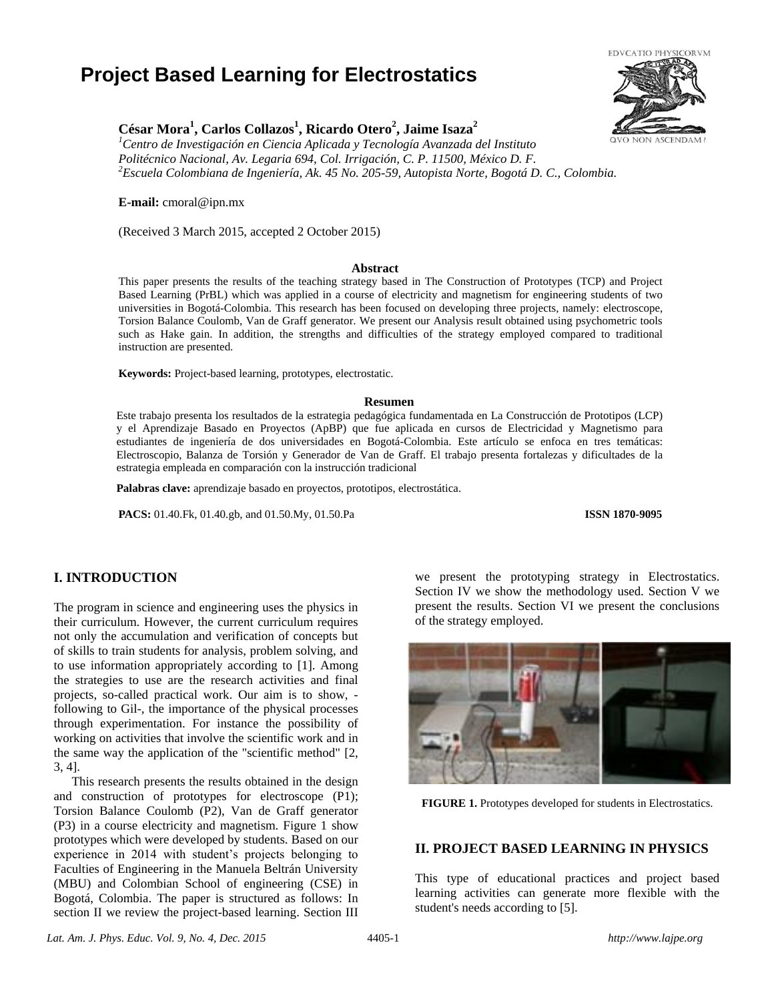# **Project Based Learning for Electrostatics**



## **César Mora<sup>1</sup> , Carlos Collazos<sup>1</sup> , Ricardo Otero<sup>2</sup> , Jaime Isaza<sup>2</sup>**

*<sup>1</sup>Centro de Investigación en Ciencia Aplicada y Tecnología Avanzada del Instituto Politécnico Nacional, Av. Legaria 694, Col. Irrigación, C. P. 11500, México D. F. <sup>2</sup>Escuela Colombiana de Ingeniería, Ak. 45 No. 205-59, Autopista Norte, Bogotá D. C., Colombia.*

**E-mail:** cmoral@ipn.mx

(Received 3 March 2015, accepted 2 October 2015)

#### **Abstract**

This paper presents the results of the teaching strategy based in The Construction of Prototypes (TCP) and Project Based Learning (PrBL) which was applied in a course of electricity and magnetism for engineering students of two universities in Bogotá-Colombia. This research has been focused on developing three projects, namely: electroscope, Torsion Balance Coulomb, Van de Graff generator. We present our Analysis result obtained using psychometric tools such as Hake gain. In addition, the strengths and difficulties of the strategy employed compared to traditional instruction are presented.

**Keywords:** Project-based learning, prototypes, electrostatic.

#### **Resumen**

Este trabajo presenta los resultados de la estrategia pedagógica fundamentada en La Construcción de Prototipos (LCP) y el Aprendizaje Basado en Proyectos (ApBP) que fue aplicada en cursos de Electricidad y Magnetismo para estudiantes de ingeniería de dos universidades en Bogotá-Colombia. Este artículo se enfoca en tres temáticas: Electroscopio, Balanza de Torsión y Generador de Van de Graff. El trabajo presenta fortalezas y dificultades de la estrategia empleada en comparación con la instrucción tradicional

**Palabras clave:** aprendizaje basado en proyectos, prototipos, electrostática.

**PACS:** 01.40.Fk, 01.40.gb, and 01.50.My, 01.50.Pa **ISSN 1870-9095**

## **I. INTRODUCTION**

The program in science and engineering uses the physics in their curriculum. However, the current curriculum requires not only the accumulation and verification of concepts but of skills to train students for analysis, problem solving, and to use information appropriately according to [1]. Among the strategies to use are the research activities and final projects, so-called practical work. Our aim is to show, following to Gil-, the importance of the physical processes through experimentation. For instance the possibility of working on activities that involve the scientific work and in the same way the application of the "scientific method" [2, 3, 4].

This research presents the results obtained in the design and construction of prototypes for electroscope (P1); Torsion Balance Coulomb (P2), Van de Graff generator (P3) in a course electricity and magnetism. Figure 1 show prototypes which were developed by students. Based on our experience in 2014 with student's projects belonging to Faculties of Engineering in the Manuela Beltrán University (MBU) and Colombian School of engineering (CSE) in Bogotá, Colombia. The paper is structured as follows: In section II we review the project-based learning. Section III we present the prototyping strategy in Electrostatics. Section IV we show the methodology used. Section V we present the results. Section VI we present the conclusions of the strategy employed.



**FIGURE 1.** Prototypes developed for students in Electrostatics.

## **II. PROJECT BASED LEARNING IN PHYSICS**

This type of educational practices and project based learning activities can generate more flexible with the student's needs according to [5].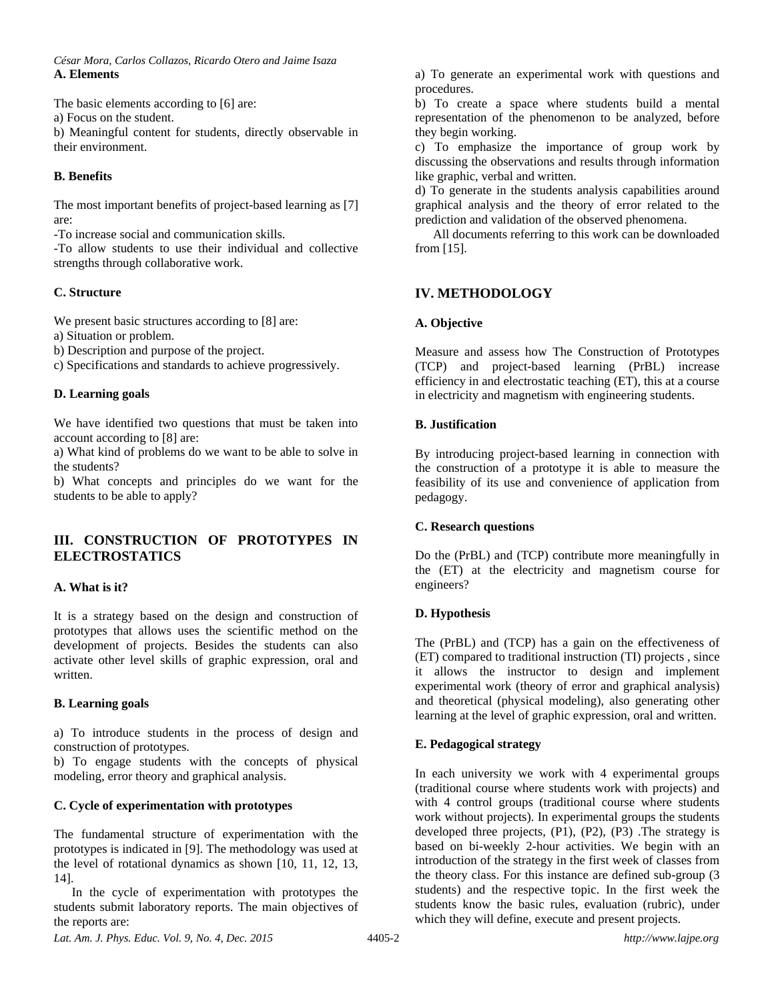*César Mora, Carlos Collazos, Ricardo Otero and Jaime Isaza* **A. Elements** 

The basic elements according to [6] are:

a) Focus on the student.

b) Meaningful content for students, directly observable in their environment.

## **B. Benefits**

The most important benefits of project-based learning as [7] are:

-To increase social and communication skills.

-To allow students to use their individual and collective strengths through collaborative work.

## **C. Structure**

We present basic structures according to [8] are:

a) Situation or problem.

b) Description and purpose of the project.

c) Specifications and standards to achieve progressively.

## **D. Learning goals**

We have identified two questions that must be taken into account according to [8] are:

a) What kind of problems do we want to be able to solve in the students?

b) What concepts and principles do we want for the students to be able to apply?

## **III. CONSTRUCTION OF PROTOTYPES IN ELECTROSTATICS**

## **A. What is it?**

It is a strategy based on the design and construction of prototypes that allows uses the scientific method on the development of projects. Besides the students can also activate other level skills of graphic expression, oral and written.

## **B. Learning goals**

a) To introduce students in the process of design and construction of prototypes.

b) To engage students with the concepts of physical modeling, error theory and graphical analysis.

## **C. Cycle of experimentation with prototypes**

The fundamental structure of experimentation with the prototypes is indicated in [9]. The methodology was used at the level of rotational dynamics as shown [10, 11, 12, 13, 14].

In the cycle of experimentation with prototypes the students submit laboratory reports. The main objectives of the reports are:

a) To generate an experimental work with questions and procedures.

b) To create a space where students build a mental representation of the phenomenon to be analyzed, before they begin working.

c) To emphasize the importance of group work by discussing the observations and results through information like graphic, verbal and written.

d) To generate in the students analysis capabilities around graphical analysis and the theory of error related to the prediction and validation of the observed phenomena.

All documents referring to this work can be downloaded from [15].

## **IV. METHODOLOGY**

## **A. Objective**

Measure and assess how The Construction of Prototypes (TCP) and project-based learning (PrBL) increase efficiency in and electrostatic teaching (ET), this at a course in electricity and magnetism with engineering students.

## **B. Justification**

By introducing project-based learning in connection with the construction of a prototype it is able to measure the feasibility of its use and convenience of application from pedagogy.

## **C. Research questions**

Do the (PrBL) and (TCP) contribute more meaningfully in the (ET) at the electricity and magnetism course for engineers?

## **D. Hypothesis**

The (PrBL) and (TCP) has a gain on the effectiveness of (ET) compared to traditional instruction (TI) projects , since it allows the instructor to design and implement experimental work (theory of error and graphical analysis) and theoretical (physical modeling), also generating other learning at the level of graphic expression, oral and written.

## **E. Pedagogical strategy**

In each university we work with 4 experimental groups (traditional course where students work with projects) and with 4 control groups (traditional course where students work without projects). In experimental groups the students developed three projects, (P1), (P2), (P3) .The strategy is based on bi-weekly 2-hour activities. We begin with an introduction of the strategy in the first week of classes from the theory class. For this instance are defined sub-group (3 students) and the respective topic. In the first week the students know the basic rules, evaluation (rubric), under which they will define, execute and present projects.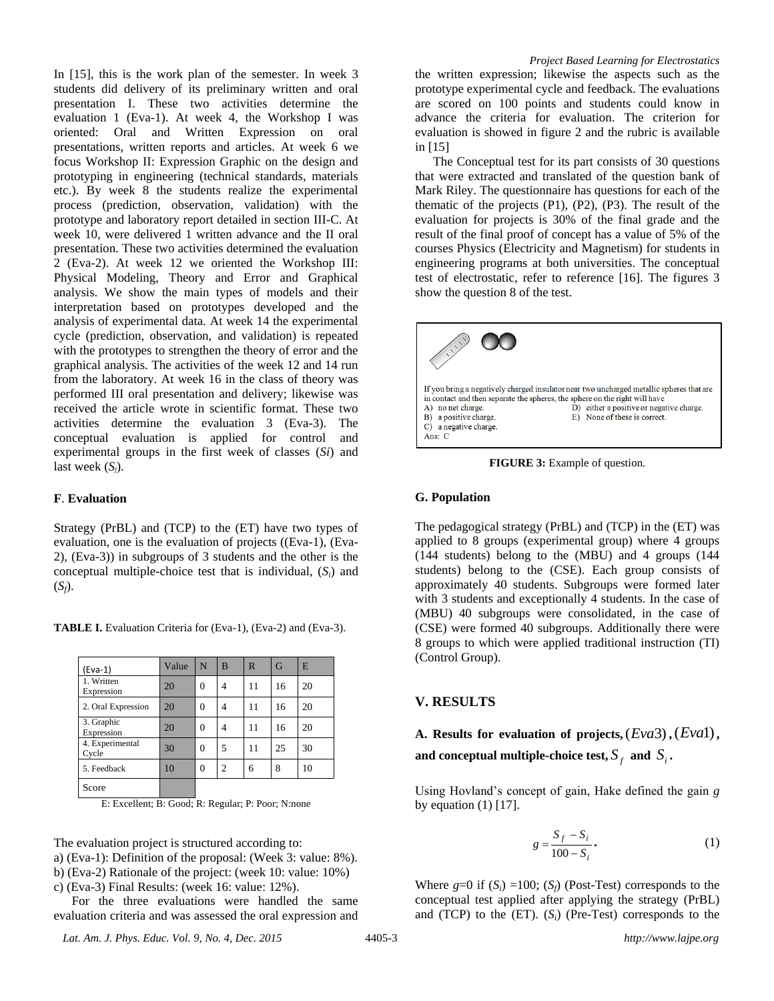In [15], this is the work plan of the semester. In week 3 students did delivery of its preliminary written and oral presentation I. These two activities determine the evaluation 1 (Eva-1). At week 4, the Workshop I was oriented: Oral and Written Expression on oral presentations, written reports and articles. At week 6 we focus Workshop II: Expression Graphic on the design and prototyping in engineering (technical standards, materials etc.). By week 8 the students realize the experimental process (prediction, observation, validation) with the prototype and laboratory report detailed in section III-C. At week 10, were delivered 1 written advance and the II oral presentation. These two activities determined the evaluation 2 (Eva-2). At week 12 we oriented the Workshop III: Physical Modeling, Theory and Error and Graphical analysis. We show the main types of models and their interpretation based on prototypes developed and the analysis of experimental data. At week 14 the experimental cycle (prediction, observation, and validation) is repeated with the prototypes to strengthen the theory of error and the graphical analysis. The activities of the week 12 and 14 run from the laboratory. At week 16 in the class of theory was performed III oral presentation and delivery; likewise was received the article wrote in scientific format. These two activities determine the evaluation 3 (Eva-3). The conceptual evaluation is applied for control and experimental groups in the first week of classes (*Si*) and last week  $(S_f)$ .

## **F**. **Evaluation**

Score

Strategy (PrBL) and (TCP) to the (ET) have two types of evaluation, one is the evaluation of projects ((Eva-1), (Eva-2), (Eva-3)) in subgroups of 3 students and the other is the conceptual multiple-choice test that is individual, (*Si*) and  $(S_f)$ .

| $(Eva-1)$                | Value | N        | B | $\mathbb{R}$ | G  | E  |
|--------------------------|-------|----------|---|--------------|----|----|
| 1. Written<br>Expression | 20    | $\theta$ |   | 11           | 16 | 20 |
| 2. Oral Expression       | 20    | $\theta$ | 4 | 11           | 16 | 20 |
| 3. Graphic<br>Expression | 20    | $\Omega$ |   | 11           | 16 | 20 |
| 4. Experimental<br>Cycle | 30    | $\Omega$ | 5 | 11           | 25 | 30 |

**TABLE I.** Evaluation Criteria for (Eva-1), (Eva-2) and (Eva-3).

E: Excellent; B: Good; R: Regular; P: Poor; N:none

5. Feedback 10 0 2 6 8 10

The evaluation project is structured according to:

```
a) (Eva-1): Definition of the proposal: (Week 3: value: 8%).
```

```
b) (Eva-2) Rationale of the project: (week 10: value: 10%)
```
c) (Eva-3) Final Results: (week 16: value: 12%).

For the three evaluations were handled the same evaluation criteria and was assessed the oral expression and

*Lat. Am. J. Phys. Educ. Vol. 9, No. 4, Dec. 2015* 4405-3 *http://www.lajpe.org*

The Conceptual test for its part consists of 30 questions that were extracted and translated of the question bank of Mark Riley. The questionnaire has questions for each of the thematic of the projects  $(P1)$ ,  $(P2)$ ,  $(P3)$ . The result of the evaluation for projects is 30% of the final grade and the result of the final proof of concept has a value of 5% of the courses Physics (Electricity and Magnetism) for students in engineering programs at both universities. The conceptual test of electrostatic, refer to reference [16]. The figures 3 show the question 8 of the test.



**FIGURE 3:** Example of question.

#### **G. Population**

in [15]

The pedagogical strategy (PrBL) and (TCP) in the (ET) was applied to 8 groups (experimental group) where 4 groups (144 students) belong to the (MBU) and 4 groups (144 students) belong to the (CSE). Each group consists of approximately 40 students. Subgroups were formed later with 3 students and exceptionally 4 students. In the case of (MBU) 40 subgroups were consolidated, in the case of (CSE) were formed 40 subgroups. Additionally there were 8 groups to which were applied traditional instruction (TI) (Control Group).

## **V. RESULTS**

# A. Results for evaluation of projects,  $(Eva3)$ ,  $(Eva1)$ , and conceptual multiple-choice test,  $S_f$  and  $\overline{S}_i$ .

Using Hovland's concept of gain, Hake defined the gain *g* by equation  $(1)$  [17].

$$
g = \frac{S_f - S_i}{100 - S_i}.
$$
\n<sup>(1)</sup>

Where  $g=0$  if  $(S_i) =100$ ;  $(S_f)$  (Post-Test) corresponds to the conceptual test applied after applying the strategy (PrBL) and (TCP) to the (ET). (*Si*) (Pre-Test) corresponds to the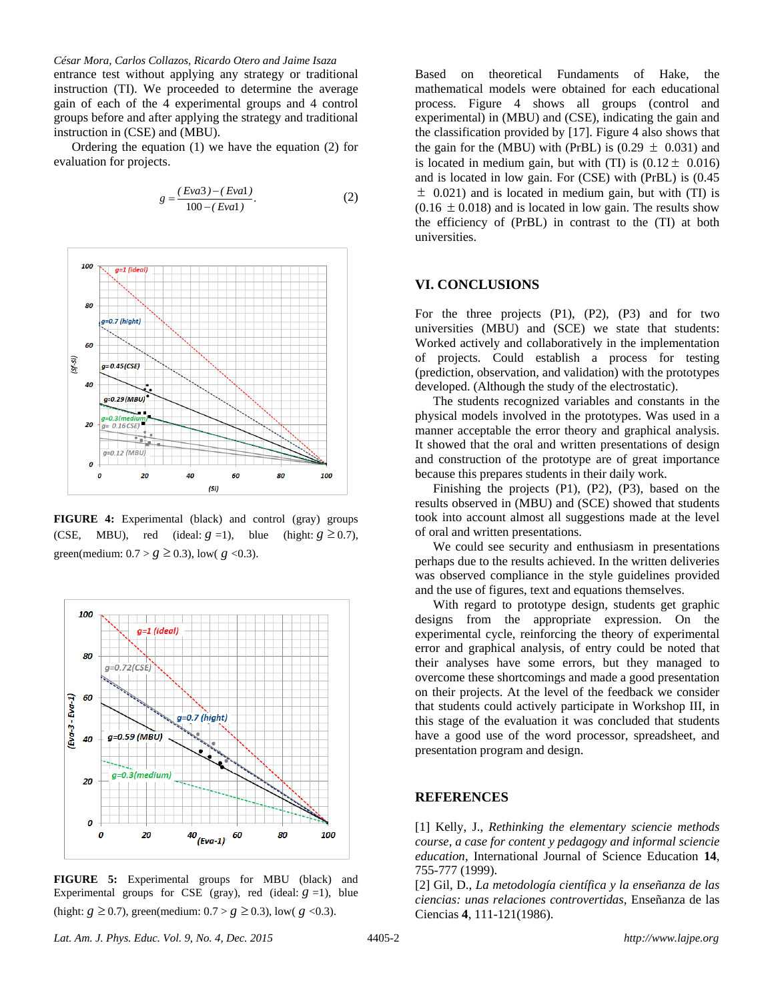*César Mora, Carlos Collazos, Ricardo Otero and Jaime Isaza*

entrance test without applying any strategy or traditional instruction (TI). We proceeded to determine the average gain of each of the 4 experimental groups and 4 control groups before and after applying the strategy and traditional instruction in (CSE) and (MBU).

Ordering the equation (1) we have the equation (2) for evaluation for projects.

$$
g = \frac{(Eva3) - (Eva1)}{100 - (Eva1)}.
$$
 (2)



**FIGURE 4:** Experimental (black) and control (gray) groups (CSE, MBU), red (ideal:  $g = 1$ ), blue (hight:  $g \ge 0.7$ ), green(medium:  $0.7 > g \ge 0.3$ ), low(  $g < 0.3$ ).



**FIGURE 5:** Experimental groups for MBU (black) and Experimental groups for CSE (gray), red (ideal:  $g = 1$ ), blue (hight:  $g \ge 0.7$ ), green(medium:  $0.7 > g \ge 0.3$ ), low(  $g < 0.3$ ).

Based on theoretical Fundaments of Hake, the mathematical models were obtained for each educational process. Figure 4 shows all groups (control and experimental) in (MBU) and (CSE), indicating the gain and the classification provided by [17]. Figure 4 also shows that the gain for the (MBU) with (PrBL) is  $(0.29 \pm 0.031)$  and is located in medium gain, but with (TI) is  $(0.12 \pm 0.016)$ and is located in low gain. For (CSE) with (PrBL) is (0.45  $\pm$  0.021) and is located in medium gain, but with (TI) is  $(0.16 \pm 0.018)$  and is located in low gain. The results show the efficiency of (PrBL) in contrast to the (TI) at both universities.

## **VI. CONCLUSIONS**

For the three projects (P1), (P2), (P3) and for two universities (MBU) and (SCE) we state that students: Worked actively and collaboratively in the implementation of projects. Could establish a process for testing (prediction, observation, and validation) with the prototypes developed. (Although the study of the electrostatic).

The students recognized variables and constants in the physical models involved in the prototypes. Was used in a manner acceptable the error theory and graphical analysis. It showed that the oral and written presentations of design and construction of the prototype are of great importance because this prepares students in their daily work.

Finishing the projects (P1), (P2), (P3), based on the results observed in (MBU) and (SCE) showed that students took into account almost all suggestions made at the level of oral and written presentations.

We could see security and enthusiasm in presentations perhaps due to the results achieved. In the written deliveries was observed compliance in the style guidelines provided and the use of figures, text and equations themselves.

With regard to prototype design, students get graphic designs from the appropriate expression. On the experimental cycle, reinforcing the theory of experimental error and graphical analysis, of entry could be noted that their analyses have some errors, but they managed to overcome these shortcomings and made a good presentation on their projects. At the level of the feedback we consider that students could actively participate in Workshop III, in this stage of the evaluation it was concluded that students have a good use of the word processor, spreadsheet, and presentation program and design.

#### **REFERENCES**

[1] Kelly, J., *Rethinking the elementary sciencie methods course, a case for content y pedagogy and informal sciencie education*, International Journal of Science Education **14**, 755-777 (1999).

[2] Gil, D., *La metodología científica y la enseñanza de las ciencias: unas relaciones controvertidas*, Enseñanza de las Ciencias **4**, 111-121(1986).